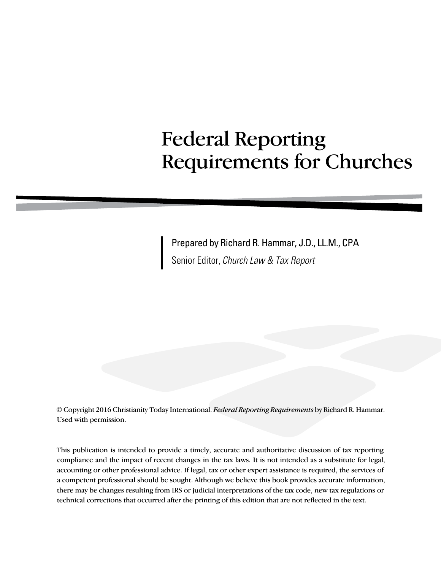# Federal Reporting Requirements for Churches

Prepared by Richard R. Hammar, J.D., LL.M., CPA Senior Editor, *Church Law & Tax Report*

© Copyright 2016 Christianity Today International. *Federal Reporting Requirements* by Richard R. Hammar. Used with permission.

This publication is intended to provide a timely, accurate and authoritative discussion of tax reporting compliance and the impact of recent changes in the tax laws. It is not intended as a substitute for legal, accounting or other professional advice. If legal, tax or other expert assistance is required, the services of a competent professional should be sought. Although we believe this book provides accurate information, there may be changes resulting from IRS or judicial interpretations of the tax code, new tax regulations or technical corrections that occurred after the printing of this edition that are not reflected in the text.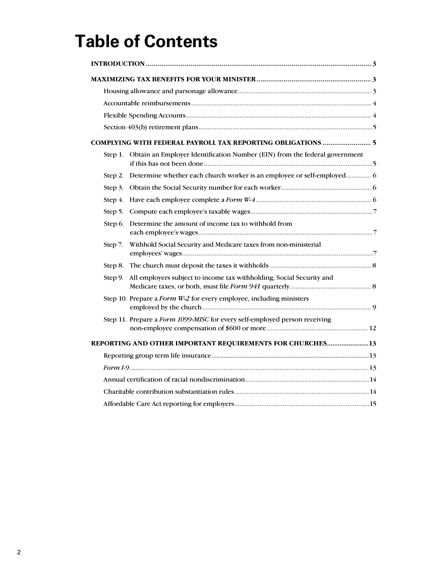# **Table of Contents**

|         | COMPLYING WITH FEDERAL PAYROLL TAX REPORTING OBLIGATIONS  5                    |  |  |  |
|---------|--------------------------------------------------------------------------------|--|--|--|
| Step 1. | Obtain an Employer Identification Number (EIN) from the federal government     |  |  |  |
|         | Step 2. Determine whether each church worker is an employee or self-employed 6 |  |  |  |
|         |                                                                                |  |  |  |
| Step 4. |                                                                                |  |  |  |
|         |                                                                                |  |  |  |
| Step 6. | Determine the amount of income tax to withhold from                            |  |  |  |
| Step 7. | Withhold Social Security and Medicare taxes from non-ministerial               |  |  |  |
| Step 8. |                                                                                |  |  |  |
| Step 9. | All employers subject to income tax withholding, Social Security and           |  |  |  |
|         | Step 10. Prepare a Form W-2 for every employee, including ministers            |  |  |  |
|         | Step 11. Prepare a Form 1099-MISC for every self-employed person receiving     |  |  |  |
|         | REPORTING AND OTHER IMPORTANT REQUIREMENTS FOR CHURCHES13                      |  |  |  |
|         |                                                                                |  |  |  |
|         |                                                                                |  |  |  |
|         |                                                                                |  |  |  |
|         |                                                                                |  |  |  |
|         |                                                                                |  |  |  |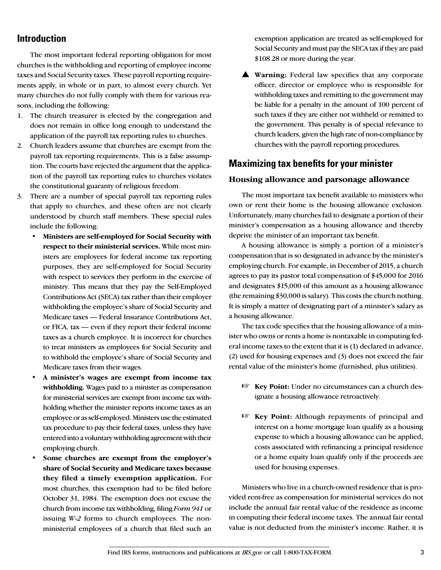# **Introduction**

The most important federal reporting obligation for most churches is the withholding and reporting of employee income taxes and Social Security taxes. These payroll reporting requirements apply, in whole or in part, to almost every church. Yet many churches do not fully comply with them for various reasons, including the following:

- 1. The church treasurer is elected by the congregation and does not remain in office long enough to understand the application of the payroll tax reporting rules to churches.
- 2. Church leaders assume that churches are exempt from the payroll tax reporting requirements. This is a false assumption. The courts have rejected the argument that the application of the payroll tax reporting rules to churches violates the constitutional guaranty of religious freedom.
- 3. There are a number of special payroll tax reporting rules that apply to churches, and these often are not clearly understood by church staff members. These special rules include the following:
	- **Ministers are self-employed for Social Security with respect to their ministerial services.** While most ministers are employees for federal income tax reporting purposes, they are self-employed for Social Security with respect to services they perform in the exercise of ministry. This means that they pay the Self-Employed Contributions Act (SECA) tax rather than their employer withholding the employee's share of Social Security and Medicare taxes — Federal Insurance Contributions Act, or FICA, tax — even if they report their federal income taxes as a church employee. It is incorrect for churches to treat ministers as employees for Social Security and to withhold the employee's share of Social Security and Medicare taxes from their wages.
	- **A minister's wages are exempt from income tax withholding.** Wages paid to a minister as compensation for ministerial services are exempt from income tax withholding whether the minister reports income taxes as an employee or as self-employed. Ministers use the estimated tax procedure to pay their federal taxes, unless they have entered into a voluntary withholding agreement with their employing church.
	- **Some churches are exempt from the employer's share of Social Security and Medicare taxes because they filed a timely exemption application.** For most churches, this exemption had to be filed before October 31, 1984. The exemption does not excuse the church from income tax withholding, filing *Form 941* or issuing *W-2* forms to church employees. The nonministerial employees of a church that filed such an

exemption application are treated as self-employed for Social Security and must pay the SECA tax if they are paid \$108.28 or more during the year.

**A** Warning: Federal law specifies that any corporate officer, director or employee who is responsible for withholding taxes and remitting to the government may be liable for a penalty in the amount of 100 percent of such taxes if they are either not withheld or remitted to the government. This penalty is of special relevance to church leaders, given the high rate of non-compliance by churches with the payroll reporting procedures.

# **Maximizing tax benefits for your minister**

### **Housing allowance and parsonage allowance**

The most important tax benefit available to ministers who own or rent their home is the housing allowance exclusion. Unfortunately, many churches fail to designate a portion of their minister's compensation as a housing allowance and thereby deprive the minister of an important tax benefit.

A housing allowance is simply a portion of a minister's compensation that is so designated in advance by the minister's employing church. For example, in December of 2015, a church agrees to pay its pastor total compensation of \$45,000 for 2016 and designates \$15,000 of this amount as a housing allowance (the remaining \$30,000 is salary). This costs the church nothing. It is simply a matter of designating part of a minister's salary as a housing allowance.

The tax code specifies that the housing allowance of a minister who owns or rents a home is nontaxable in computing federal income taxes to the extent that it is (1) declared in advance, (2) used for housing expenses and (3) does not exceed the fair rental value of the minister's home (furnished, plus utilities).

- $\mathbb{F}$  **Key Point:** Under no circumstances can a church designate a housing allowance retroactively.
- **Key Point:** Although repayments of principal and interest on a home mortgage loan qualify as a housing expense to which a housing allowance can be applied, costs associated with refinancing a principal residence or a home equity loan qualify only if the proceeds are used for housing expenses.

Ministers who live in a church-owned residence that is provided rent-free as compensation for ministerial services do not include the annual fair rental value of the residence as income in computing their federal income taxes. The annual fair rental value is not deducted from the minister's income. Rather, it is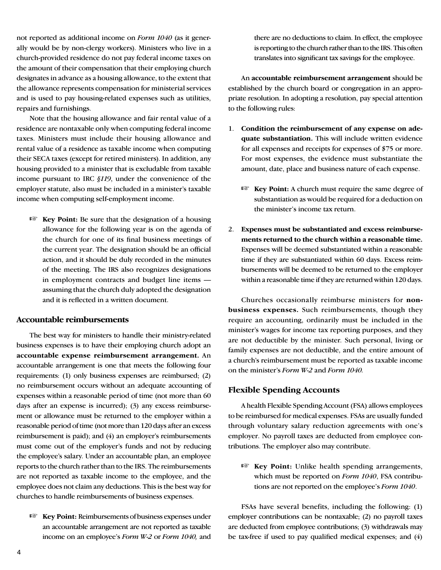not reported as additional income on *Form 1040* (as it generally would be by non-clergy workers). Ministers who live in a church-provided residence do not pay federal income taxes on the amount of their compensation that their employing church designates in advance as a housing allowance, to the extent that the allowance represents compensation for ministerial services and is used to pay housing-related expenses such as utilities, repairs and furnishings.

Note that the housing allowance and fair rental value of a residence are nontaxable only when computing federal income taxes. Ministers must include their housing allowance and rental value of a residence as taxable income when computing their SECA taxes (except for retired ministers). In addition, any housing provided to a minister that is excludable from taxable income pursuant to IRC *§119*, under the convenience of the employer statute, also must be included in a minister's taxable income when computing self-employment income.

**Example 1 Key Point:** Be sure that the designation of a housing allowance for the following year is on the agenda of the church for one of its final business meetings of the current year. The designation should be an official action, and it should be duly recorded in the minutes of the meeting. The IRS also recognizes designations in employment contracts and budget line items assuming that the church duly adopted the designation and it is reflected in a written document.

#### **Accountable reimbursements**

The best way for ministers to handle their ministry-related business expenses is to have their employing church adopt an **accountable expense reimbursement arrangement.** An accountable arrangement is one that meets the following four requirements: (1) only business expenses are reimbursed; (2) no reimbursement occurs without an adequate accounting of expenses within a reasonable period of time (not more than 60 days after an expense is incurred); (3) any excess reimbursement or allowance must be returned to the employer within a reasonable period of time (not more than 120 days after an excess reimbursement is paid); and (4) an employer's reimbursements must come out of the employer's funds and not by reducing the employee's salary. Under an accountable plan, an employee reports to the church rather than to the IRS. The reimbursements are not reported as taxable income to the employee, and the employee does not claim any deductions. This is the best way for churches to handle reimbursements of business expenses.

**Key Point:** Reimbursements of business expenses under an accountable arrangement are not reported as taxable income on an employee's *Form W-2* or *Form 1040,* and there are no deductions to claim. In effect, the employee is reporting to the church rather than to the IRS. This often translates into significant tax savings for the employee.

An **accountable reimbursement arrangement** should be established by the church board or congregation in an appropriate resolution. In adopting a resolution, pay special attention to the following rules:

- 1. **Condition the reimbursement of any expense on adequate substantiation.** This will include written evidence for all expenses and receipts for expenses of \$75 or more. For most expenses, the evidence must substantiate the amount, date, place and business nature of each expense.
	- **Key Point:** A church must require the same degree of substantiation as would be required for a deduction on the minister's income tax return.
- 2. **Expenses must be substantiated and excess reimbursements returned to the church within a reasonable time.**  Expenses will be deemed substantiated within a reasonable time if they are substantiated within 60 days. Excess reimbursements will be deemed to be returned to the employer within a reasonable time if they are returned within 120 days.

Churches occasionally reimburse ministers for **nonbusiness expenses.** Such reimbursements, though they require an accounting, ordinarily must be included in the minister's wages for income tax reporting purposes, and they are not deductible by the minister. Such personal, living or family expenses are not deductible, and the entire amount of a church's reimbursement must be reported as taxable income on the minister's *Form W-2* and *Form 1040.*

#### **Flexible Spending Accounts**

A health Flexible Spending Account (FSA) allows employees to be reimbursed for medical expenses. FSAs are usually funded through voluntary salary reduction agreements with one's employer. No payroll taxes are deducted from employee contributions. The employer also may contribute.

**Key Point:** Unlike health spending arrangements, which must be reported on *Form 1040*, FSA contributions are not reported on the employee's *Form 1040*.

FSAs have several benefits, including the following: (1) employer contributions can be nontaxable; (2) no payroll taxes are deducted from employee contributions; (3) withdrawals may be tax-free if used to pay qualified medical expenses; and (4)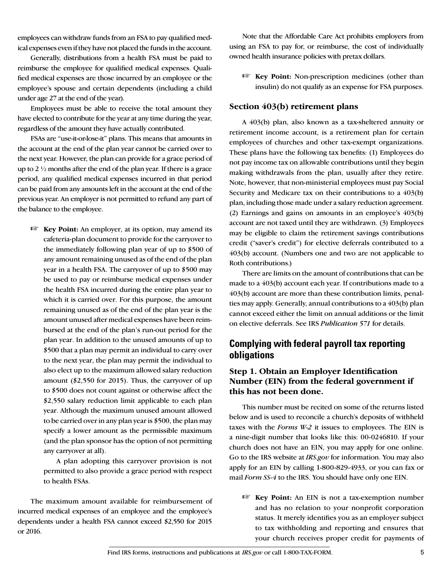employees can withdraw funds from an FSA to pay qualified medical expenses even if they have not placed the funds in the account.

Generally, distributions from a health FSA must be paid to reimburse the employee for qualified medical expenses. Qualified medical expenses are those incurred by an employee or the employee's spouse and certain dependents (including a child under age 27 at the end of the year).

Employees must be able to receive the total amount they have elected to contribute for the year at any time during the year, regardless of the amount they have actually contributed.

FSAs are "use-it-or-lose-it" plans. This means that amounts in the account at the end of the plan year cannot be carried over to the next year. However, the plan can provide for a grace period of up to 2 ½ months after the end of the plan year. If there is a grace period, any qualified medical expenses incurred in that period can be paid from any amounts left in the account at the end of the previous year. An employer is not permitted to refund any part of the balance to the employee.

**Key Point:** An employer, at its option, may amend its cafeteria-plan document to provide for the carryover to the immediately following plan year of up to \$500 of any amount remaining unused as of the end of the plan year in a health FSA. The carryover of up to \$500 may be used to pay or reimburse medical expenses under the health FSA incurred during the entire plan year to which it is carried over. For this purpose, the amount remaining unused as of the end of the plan year is the amount unused after medical expenses have been reimbursed at the end of the plan's run-out period for the plan year. In addition to the unused amounts of up to \$500 that a plan may permit an individual to carry over to the next year, the plan may permit the individual to also elect up to the maximum allowed salary reduction amount (\$2,550 for 2015). Thus, the carryover of up to \$500 does not count against or otherwise affect the \$2,550 salary reduction limit applicable to each plan year. Although the maximum unused amount allowed to be carried over in any plan year is \$500, the plan may specify a lower amount as the permissible maximum (and the plan sponsor has the option of not permitting any carryover at all).

A plan adopting this carryover provision is not permitted to also provide a grace period with respect to health FSAs.

The maximum amount available for reimbursement of incurred medical expenses of an employee and the employee's dependents under a health FSA cannot exceed \$2,550 for 2015 or 2016.

Note that the Affordable Care Act prohibits employers from using an FSA to pay for, or reimburse, the cost of individually owned health insurance policies with pretax dollars.

**Example 18 Key Point:** Non-prescription medicines (other than insulin) do not qualify as an expense for FSA purposes.

#### **Section 403(b) retirement plans**

A 403(b) plan, also known as a tax-sheltered annuity or retirement income account, is a retirement plan for certain employees of churches and other tax-exempt organizations. These plans have the following tax benefits: (1) Employees do not pay income tax on allowable contributions until they begin making withdrawals from the plan, usually after they retire. Note, however, that non-ministerial employees must pay Social Security and Medicare tax on their contributions to a 403(b) plan, including those made under a salary reduction agreement. (2) Earnings and gains on amounts in an employee's 403(b) account are not taxed until they are withdrawn. (3) Employees may be eligible to claim the retirement savings contributions credit ("saver's credit") for elective deferrals contributed to a 403(b) account. (Numbers one and two are not applicable to Roth contributions.)

There are limits on the amount of contributions that can be made to a 403(b) account each year. If contributions made to a 403(b) account are more than these contribution limits, penalties may apply. Generally, annual contributions to a 403(b) plan cannot exceed either the limit on annual additions or the limit on elective deferrals. See IRS *Publication 571* for details.

## **Complying with federal payroll tax reporting obligations**

#### **Step 1. Obtain an Employer Identification Number (EIN) from the federal government if this has not been done.**

This number must be recited on some of the returns listed below and is used to reconcile a church's deposits of withheld taxes with the *Forms W-2* it issues to employees. The EIN is a nine-digit number that looks like this: 00-0246810. If your church does not have an EIN, you may apply for one online. Go to the IRS website at *IRS.gov* for information. You may also apply for an EIN by calling 1-800-829-4933, or you can fax or mail *Form SS-4* to the IRS. You should have only one EIN.

**Key Point:** An EIN is not a tax-exemption number and has no relation to your nonprofit corporation status. It merely identifies you as an employer subject to tax withholding and reporting and ensures that your church receives proper credit for payments of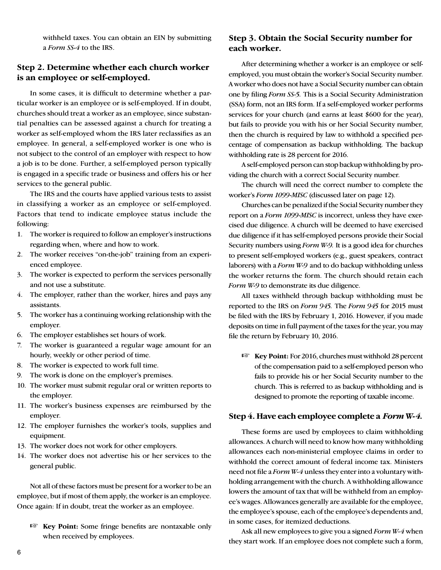withheld taxes. You can obtain an EIN by submitting a *Form SS-4* to the IRS.

#### **Step 2. Determine whether each church worker is an employee or self-employed.**

In some cases, it is difficult to determine whether a particular worker is an employee or is self-employed. If in doubt, churches should treat a worker as an employee, since substantial penalties can be assessed against a church for treating a worker as self-employed whom the IRS later reclassifies as an employee. In general, a self-employed worker is one who is not subject to the control of an employer with respect to how a job is to be done. Further, a self-employed person typically is engaged in a specific trade or business and offers his or her services to the general public.

The IRS and the courts have applied various tests to assist in classifying a worker as an employee or self-employed. Factors that tend to indicate employee status include the following:

- 1. The worker is required to follow an employer's instructions regarding when, where and how to work.
- 2. The worker receives "on-the-job" training from an experienced employee.
- 3. The worker is expected to perform the services personally and not use a substitute.
- 4. The employer, rather than the worker, hires and pays any assistants.
- 5. The worker has a continuing working relationship with the employer.
- 6. The employer establishes set hours of work.
- 7. The worker is guaranteed a regular wage amount for an hourly, weekly or other period of time.
- 8. The worker is expected to work full time.
- 9. The work is done on the employer's premises.
- 10. The worker must submit regular oral or written reports to the employer.
- 11. The worker's business expenses are reimbursed by the employer.
- 12. The employer furnishes the worker's tools, supplies and equipment.
- 13. The worker does not work for other employers.
- 14. The worker does not advertise his or her services to the general public.

Not all of these factors must be present for a worker to be an employee, but if most of them apply, the worker is an employee. Once again: If in doubt, treat the worker as an employee.

**Key Point:** Some fringe benefits are nontaxable only when received by employees.

#### **Step 3. Obtain the Social Security number for each worker.**

After determining whether a worker is an employee or selfemployed, you must obtain the worker's Social Security number. A worker who does not have a Social Security number can obtain one by filing *Form SS-5.* This is a Social Security Administration (SSA) form, not an IRS form. If a self-employed worker performs services for your church (and earns at least \$600 for the year), but fails to provide you with his or her Social Security number, then the church is required by law to withhold a specified percentage of compensation as backup withholding. The backup withholding rate is 28 percent for 2016.

A self-employed person can stop backup withholding by providing the church with a correct Social Security number.

The church will need the correct number to complete the worker's *Form 1099-MISC* (discussed later on page 12).

Churches can be penalized if the Social Security number they report on a *Form 1099-MISC* is incorrect, unless they have exercised due diligence. A church will be deemed to have exercised due diligence if it has self-employed persons provide their Social Security numbers using *Form W-9.* It is a good idea for churches to present self-employed workers (e.g., guest speakers, contract laborers) with a *Form W-9* and to do backup withholding unless the worker returns the form. The church should retain each *Form W-9* to demonstrate its due diligence.

All taxes withheld through backup withholding must be reported to the IRS on *Form 945.* The *Form 945* for 2015 must be filed with the IRS by February 1, 2016. However, if you made deposits on time in full payment of the taxes for the year, you may file the return by February 10, 2016.

**Key Point:** For 2016, churches must withhold 28 percent of the compensation paid to a self-employed person who fails to provide his or her Social Security number to the church. This is referred to as backup withholding and is designed to promote the reporting of taxable income.

#### **Step 4. Have each employee complete a** *Form W-4.*

These forms are used by employees to claim withholding allowances. A church will need to know how many withholding allowances each non-ministerial employee claims in order to withhold the correct amount of federal income tax. Ministers need not file a *Form W-4* unless they enter into a voluntary withholding arrangement with the church. A withholding allowance lowers the amount of tax that will be withheld from an employee's wages. Allowances generally are available for the employee, the employee's spouse, each of the employee's dependents and, in some cases, for itemized deductions.

Ask all new employees to give you a signed *Form W-4* when they start work. If an employee does not complete such a form,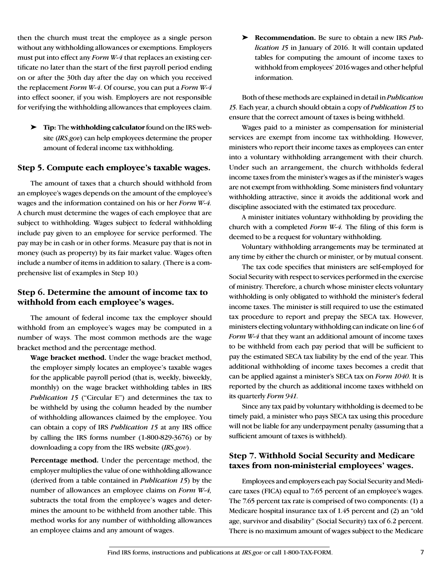then the church must treat the employee as a single person without any withholding allowances or exemptions. Employers must put into effect any *Form W-4* that replaces an existing certificate no later than the start of the first payroll period ending on or after the 30th day after the day on which you received the replacement *Form W-4*. Of course, you can put a *Form W-4*  into effect sooner, if you wish. Employers are not responsible for verifying the withholding allowances that employees claim.

➤ **Tip:** The **withholding calculator** found on the IRS website (*IRS.gov*) can help employees determine the proper amount of federal income tax withholding.

#### **Step 5. Compute each employee's taxable wages.**

The amount of taxes that a church should withhold from an employee's wages depends on the amount of the employee's wages and the information contained on his or her *Form W-4.*  A church must determine the wages of each employee that are subject to withholding. Wages subject to federal withholding include pay given to an employee for service performed. The pay may be in cash or in other forms. Measure pay that is not in money (such as property) by its fair market value. Wages often include a number of items in addition to salary. (There is a comprehensive list of examples in Step 10.)

#### **Step 6. Determine the amount of income tax to withhold from each employee's wages.**

The amount of federal income tax the employer should withhold from an employee's wages may be computed in a number of ways. The most common methods are the wage bracket method and the percentage method.

**Wage bracket method.** Under the wage bracket method, the employer simply locates an employee's taxable wages for the applicable payroll period (that is, weekly, biweekly, monthly) on the wage bracket withholding tables in IRS *Publication 15* ("Circular E") and determines the tax to be withheld by using the column headed by the number of withholding allowances claimed by the employee. You can obtain a copy of IRS *Publication 15* at any IRS office by calling the IRS forms number (1-800-829-3676) or by downloading a copy from the IRS website (*IRS.gov*).

**Percentage method.** Under the percentage method, the employer multiplies the value of one withholding allowance (derived from a table contained in *Publication 15*) by the number of allowances an employee claims on *Form W-4,*  subtracts the total from the employee's wages and determines the amount to be withheld from another table. This method works for any number of withholding allowances an employee claims and any amount of wages.

➤ **Recommendation.** Be sure to obtain a new IRS *Publication 15* in January of 2016. It will contain updated tables for computing the amount of income taxes to withhold from employees' 2016 wages and other helpful information.

Both of these methods are explained in detail in *Publication 15*. Each year, a church should obtain a copy of *Publication 15* to ensure that the correct amount of taxes is being withheld.

Wages paid to a minister as compensation for ministerial services are exempt from income tax withholding. However, ministers who report their income taxes as employees can enter into a voluntary withholding arrangement with their church. Under such an arrangement, the church withholds federal income taxes from the minister's wages as if the minister's wages are not exempt from withholding. Some ministers find voluntary withholding attractive, since it avoids the additional work and discipline associated with the estimated tax procedure.

A minister initiates voluntary withholding by providing the church with a completed *Form W-4.* The filing of this form is deemed to be a request for voluntary withholding.

Voluntary withholding arrangements may be terminated at any time by either the church or minister, or by mutual consent.

The tax code specifies that ministers are self-employed for Social Security with respect to services performed in the exercise of ministry. Therefore, a church whose minister elects voluntary withholding is only obligated to withhold the minister's federal income taxes. The minister is still required to use the estimated tax procedure to report and prepay the SECA tax. However, ministers electing voluntary withholding can indicate on line 6 of *Form W-4* that they want an additional amount of income taxes to be withheld from each pay period that will be sufficient to pay the estimated SECA tax liability by the end of the year. This additional withholding of income taxes becomes a credit that can be applied against a minister's SECA tax on *Form 1040*. It is reported by the church as additional income taxes withheld on its quarterly *Form 941*.

Since any tax paid by voluntary withholding is deemed to be timely paid, a minister who pays SECA tax using this procedure will not be liable for any underpayment penalty (assuming that a sufficient amount of taxes is withheld).

#### **Step 7. Withhold Social Security and Medicare taxes from non-ministerial employees' wages.**

Employees and employers each pay Social Security and Medicare taxes (FICA) equal to 7.65 percent of an employee's wages. The 7.65 percent tax rate is comprised of two components: (1) a Medicare hospital insurance tax of 1.45 percent and (2) an "old age, survivor and disability" (Social Security) tax of 6.2 percent. There is no maximum amount of wages subject to the Medicare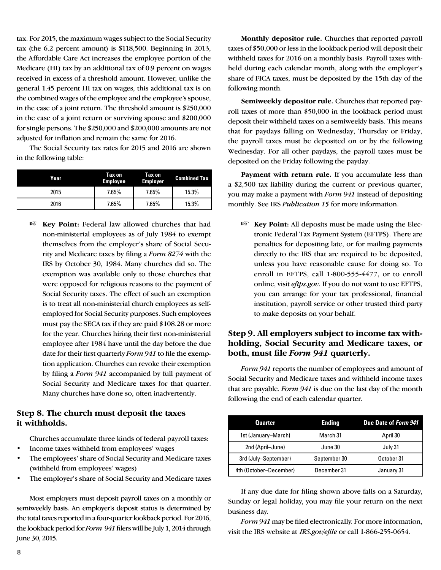tax. For 2015, the maximum wages subject to the Social Security tax (the 6.2 percent amount) is \$118,500. Beginning in 2013, the Affordable Care Act increases the employee portion of the Medicare (HI) tax by an additional tax of 0.9 percent on wages received in excess of a threshold amount. However, unlike the general 1.45 percent HI tax on wages, this additional tax is on the combined wages of the employee and the employee's spouse, in the case of a joint return. The threshold amount is \$250,000 in the case of a joint return or surviving spouse and \$200,000 for single persons. The \$250,000 and \$200,000 amounts are not adjusted for inflation and remain the same for 2016.

The Social Security tax rates for 2015 and 2016 are shown in the following table:

| Year | Tax on<br><b>Employee</b> | Tax on<br><b>Employer</b> | <b>Combined Tax</b> |
|------|---------------------------|---------------------------|---------------------|
| 2015 | 7.65%                     | 7.65%                     | 15.3%               |
| 2016 | 7.65%                     | 7.65%                     | 15.3%               |

**Example 7 Key Point:** Federal law allowed churches that had non-ministerial employees as of July 1984 to exempt themselves from the employer's share of Social Security and Medicare taxes by filing a *Form 8274* with the IRS by October 30, 1984. Many churches did so. The exemption was available only to those churches that were opposed for religious reasons to the payment of Social Security taxes. The effect of such an exemption is to treat all non-ministerial church employees as selfemployed for Social Security purposes. Such employees must pay the SECA tax if they are paid \$108.28 or more for the year. Churches hiring their first non-ministerial employee after 1984 have until the day before the due date for their first quarterly *Form 941* to file the exemption application. Churches can revoke their exemption by filing a *Form 941* accompanied by full payment of Social Security and Medicare taxes for that quarter. Many churches have done so, often inadvertently.

#### **Step 8. The church must deposit the taxes it withholds.**

Churches accumulate three kinds of federal payroll taxes:

- Income taxes withheld from employees' wages
- The employees' share of Social Security and Medicare taxes (withheld from employees' wages)
- The employer's share of Social Security and Medicare taxes

Most employers must deposit payroll taxes on a monthly or semiweekly basis. An employer's deposit status is determined by the total taxes reported in a four-quarter lookback period. For 2016, the lookback period for *Form 941* filers will be July 1, 2014 through June 30, 2015.

**Monthly depositor rule.** Churches that reported payroll taxes of \$50,000 or less in the lookback period will deposit their withheld taxes for 2016 on a monthly basis. Payroll taxes withheld during each calendar month, along with the employer's share of FICA taxes, must be deposited by the 15th day of the following month.

**Semiweekly depositor rule.** Churches that reported payroll taxes of more than \$50,000 in the lookback period must deposit their withheld taxes on a semiweekly basis. This means that for paydays falling on Wednesday, Thursday or Friday, the payroll taxes must be deposited on or by the following Wednesday. For all other paydays, the payroll taxes must be deposited on the Friday following the payday.

Payment with return rule. If you accumulate less than a \$2,500 tax liability during the current or previous quarter, you may make a payment with *Form 941* instead of depositing monthly. See IRS *Publication 15* for more information.

**Key Point:** All deposits must be made using the Electronic Federal Tax Payment System (EFTPS). There are penalties for depositing late, or for mailing payments directly to the IRS that are required to be deposited, unless you have reasonable cause for doing so. To enroll in EFTPS, call 1-800-555-4477, or to enroll online, visit *eftps.gov*. If you do not want to use EFTPS, you can arrange for your tax professional, financial institution, payroll service or other trusted third party to make deposits on your behalf.

### **Step 9. All employers subject to income tax withholding, Social Security and Medicare taxes, or both, must file** *Form 941* **quarterly.**

*Form 941* reports the number of employees and amount of Social Security and Medicare taxes and withheld income taxes that are payable. *Form 941* is due on the last day of the month following the end of each calendar quarter.

| <b>Quarter</b>         | Ending       | Due Date of Form 941 |
|------------------------|--------------|----------------------|
| 1st (January–March)    | March 31     | April 30             |
| 2nd (April-June)       | June 30      | July 31              |
| 3rd (July-September)   | September 30 | October 31           |
| 4th (October-December) | December 31  | January 31           |

If any due date for filing shown above falls on a Saturday, Sunday or legal holiday, you may file your return on the next business day.

*Form 941* may be filed electronically. For more information, visit the IRS website at *IRS.gov/efile* or call 1-866-255-0654.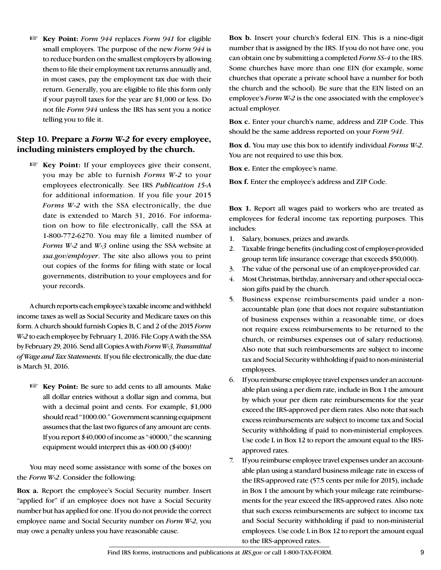+ **Key Point:** *Form 944* replaces *Form 941* for eligible small employers. The purpose of the new *Form 944* is to reduce burden on the smallest employers by allowing them to file their employment tax returns annually and, in most cases, pay the employment tax due with their return. Generally, you are eligible to file this form only if your payroll taxes for the year are \$1,000 or less. Do not file *Form 944* unless the IRS has sent you a notice telling you to file it.

#### **Step 10. Prepare a** *Form W-2* **for every employee, including ministers employed by the church.**

**EXEY Point:** If your employees give their consent, you may be able to furnish *Forms W-2* to your employees electronically. See IRS *Publication 15-A* for additional information. If you file your 2015 *Forms W-2* with the SSA electronically, the due date is extended to March 31, 2016. For information on how to file electronically, call the SSA at 1-800-772-6270. You may file a limited number of *Forms W-2* and *W-3* online using the SSA website at *ssa.gov/employer*. The site also allows you to print out copies of the forms for filing with state or local governments, distribution to your employees and for your records.

A church reports each employee's taxable income and withheld income taxes as well as Social Security and Medicare taxes on this form. A church should furnish Copies B, C and 2 of the 2015 *Form W-2* to each employee by February 1, 2016. File Copy A with the SSA by February 29, 2016. Send all Copies A with *Form W-3, Transmittal of Wage and Tax Statements.* If you file electronically, the due date is March 31, 2016.

**Key Point:** Be sure to add cents to all amounts. Make all dollar entries without a dollar sign and comma, but with a decimal point and cents. For example, \$1,000 should read "1000.00." Government scanning equipment assumes that the last two figures of any amount are cents. If you report \$40,000 of income as "40000," the scanning equipment would interpret this as 400.00 (\$400)!

You may need some assistance with some of the boxes on the *Form W-2*. Consider the following:

**Box a.** Report the employee's Social Security number. Insert "applied for" if an employee does not have a Social Security number but has applied for one. If you do not provide the correct employee name and Social Security number on *Form W-2*, you may owe a penalty unless you have reasonable cause.

**Box b.** Insert your church's federal EIN. This is a nine-digit number that is assigned by the IRS. If you do not have one, you can obtain one by submitting a completed *Form SS-4* to the IRS. Some churches have more than one EIN (for example, some churches that operate a private school have a number for both the church and the school). Be sure that the EIN listed on an employee's *Form W-2* is the one associated with the employee's actual employer.

**Box c.** Enter your church's name, address and ZIP Code. This should be the same address reported on your *Form 941*.

**Box d.** You may use this box to identify individual *Forms W-2*. You are not required to use this box.

**Box e.** Enter the employee's name.

**Box f.** Enter the employee's address and ZIP Code.

**Box 1.** Report all wages paid to workers who are treated as employees for federal income tax reporting purposes. This includes:

- 1. Salary, bonuses, prizes and awards.
- 2. Taxable fringe benefits (including cost of employer-provided group term life insurance coverage that exceeds \$50,000).
- 3. The value of the personal use of an employer-provided car.
- 4. Most Christmas, birthday, anniversary and other special occasion gifts paid by the church.
- 5. Business expense reimbursements paid under a nonaccountable plan (one that does not require substantiation of business expenses within a reasonable time, or does not require excess reimbursements to be returned to the church, or reimburses expenses out of salary reductions). Also note that such reimbursements are subject to income tax and Social Security withholding if paid to non-ministerial employees.
- 6. If you reimburse employee travel expenses under an accountable plan using a per diem rate, include in Box 1 the amount by which your per diem rate reimbursements for the year exceed the IRS-approved per diem rates. Also note that such excess reimbursements are subject to income tax and Social Security withholding if paid to non-ministerial employees. Use code L in Box 12 to report the amount equal to the IRSapproved rates.
- 7. If you reimburse employee travel expenses under an accountable plan using a standard business mileage rate in excess of the IRS-approved rate (57.5 cents per mile for 2015), include in Box 1 the amount by which your mileage rate reimbursements for the year exceed the IRS-approved rates. Also note that such excess reimbursements are subject to income tax and Social Security withholding if paid to non-ministerial employees. Use code L in Box 12 to report the amount equal to the IRS-approved rates.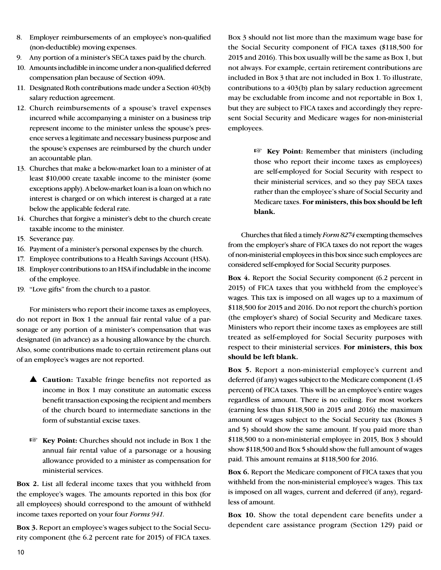- 8. Employer reimbursements of an employee's non-qualified (non-deductible) moving expenses.
- 9. Any portion of a minister's SECA taxes paid by the church.
- 10. Amounts includible in income under a non-qualified deferred compensation plan because of Section 409A.
- 11. Designated Roth contributions made under a Section 403(b) salary reduction agreement.
- 12. Church reimbursements of a spouse's travel expenses incurred while accompanying a minister on a business trip represent income to the minister unless the spouse's presence serves a legitimate and necessary business purpose and the spouse's expenses are reimbursed by the church under an accountable plan.
- 13. Churches that make a below-market loan to a minister of at least \$10,000 create taxable income to the minister (some exceptions apply). A below-market loan is a loan on which no interest is charged or on which interest is charged at a rate below the applicable federal rate.
- 14. Churches that forgive a minister's debt to the church create taxable income to the minister.
- 15. Severance pay.
- 16. Payment of a minister's personal expenses by the church.
- 17. Employee contributions to a Health Savings Account (HSA).
- 18. Employer contributions to an HSA if includable in the income of the employee.
- 19. "Love gifts" from the church to a pastor.

For ministers who report their income taxes as employees, do not report in Box 1 the annual fair rental value of a parsonage or any portion of a minister's compensation that was designated (in advance) as a housing allowance by the church. Also, some contributions made to certain retirement plans out of an employee's wages are not reported.

- **A** Caution: Taxable fringe benefits not reported as income in Box 1 may constitute an automatic excess benefit transaction exposing the recipient and members of the church board to intermediate sanctions in the form of substantial excise taxes.
- **Key Point:** Churches should not include in Box 1 the annual fair rental value of a parsonage or a housing allowance provided to a minister as compensation for ministerial services.

**Box 2.** List all federal income taxes that you withheld from the employee's wages. The amounts reported in this box (for all employees) should correspond to the amount of withheld income taxes reported on your four *Forms 941*.

**Box 3.** Report an employee's wages subject to the Social Security component (the 6.2 percent rate for 2015) of FICA taxes. Box 3 should not list more than the maximum wage base for the Social Security component of FICA taxes (\$118,500 for 2015 and 2016). This box usually will be the same as Box 1, but not always. For example, certain retirement contributions are included in Box 3 that are not included in Box 1. To illustrate, contributions to a 403(b) plan by salary reduction agreement may be excludable from income and not reportable in Box 1, but they are subject to FICA taxes and accordingly they represent Social Security and Medicare wages for non-ministerial employees.

> **Example 12 Key Point:** Remember that ministers (including those who report their income taxes as employees) are self-employed for Social Security with respect to their ministerial services, and so they pay SECA taxes rather than the employee's share of Social Security and Medicare taxes. **For ministers, this box should be left blank.**

Churches that filed a timely *Form 8274* exempting themselves from the employer's share of FICA taxes do not report the wages of non-ministerial employees in this box since such employees are considered self-employed for Social Security purposes.

**Box 4.** Report the Social Security component (6.2 percent in 2015) of FICA taxes that you withheld from the employee's wages. This tax is imposed on all wages up to a maximum of \$118,500 for 2015 and 2016. Do not report the church's portion (the employer's share) of Social Security and Medicare taxes. Ministers who report their income taxes as employees are still treated as self-employed for Social Security purposes with respect to their ministerial services. **For ministers, this box should be left blank.** 

**Box 5.** Report a non-ministerial employee's current and deferred (if any) wages subject to the Medicare component (1.45 percent) of FICA taxes. This will be an employee's entire wages regardless of amount. There is no ceiling. For most workers (earning less than \$118,500 in 2015 and 2016) the maximum amount of wages subject to the Social Security tax (Boxes 3 and 5) should show the same amount. If you paid more than \$118,500 to a non-ministerial employee in 2015, Box 3 should show \$118,500 and Box 5 should show the full amount of wages paid. This amount remains at \$118,500 for 2016.

**Box 6.** Report the Medicare component of FICA taxes that you withheld from the non-ministerial employee's wages. This tax is imposed on all wages, current and deferred (if any), regardless of amount.

**Box 10.** Show the total dependent care benefits under a dependent care assistance program (Section 129) paid or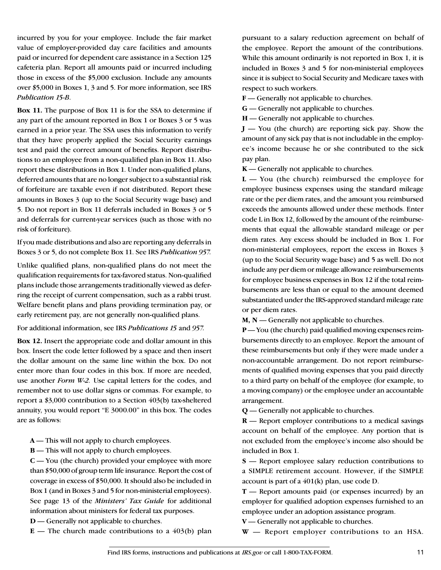incurred by you for your employee. Include the fair market value of employer-provided day care facilities and amounts paid or incurred for dependent care assistance in a Section 125 cafeteria plan. Report all amounts paid or incurred including those in excess of the \$5,000 exclusion. Include any amounts over \$5,000 in Boxes 1, 3 and 5. For more information, see IRS *Publication 15-B*.

**Box 11.** The purpose of Box 11 is for the SSA to determine if any part of the amount reported in Box 1 or Boxes 3 or 5 was earned in a prior year. The SSA uses this information to verify that they have properly applied the Social Security earnings test and paid the correct amount of benefits. Report distributions to an employee from a non-qualified plan in Box 11. Also report these distributions in Box 1. Under non-qualified plans, deferred amounts that are no longer subject to a substantial risk of forfeiture are taxable even if not distributed. Report these amounts in Boxes 3 (up to the Social Security wage base) and 5. Do not report in Box 11 deferrals included in Boxes 3 or 5 and deferrals for current-year services (such as those with no risk of forfeiture).

If you made distributions and also are reporting any deferrals in Boxes 3 or 5, do not complete Box 11. See IRS *Publication 957.*

Unlike qualified plans, non-qualified plans do not meet the qualification requirements for tax-favored status. Non-qualified plans include those arrangements traditionally viewed as deferring the receipt of current compensation, such as a rabbi trust. Welfare benefit plans and plans providing termination pay, or early retirement pay, are not generally non-qualified plans.

For additional information, see IRS *Publications 15* and *957.*

**Box 12.** Insert the appropriate code and dollar amount in this box. Insert the code letter followed by a space and then insert the dollar amount on the same line within the box. Do not enter more than four codes in this box. If more are needed, use another *Form W-2.* Use capital letters for the codes, and remember not to use dollar signs or commas. For example, to report a \$3,000 contribution to a Section 403(b) tax-sheltered annuity, you would report "E 3000.00" in this box. The codes are as follows:

**A** — This will not apply to church employees.

**B** — This will not apply to church employees.

**C** — You (the church) provided your employee with more than \$50,000 of group term life insurance. Report the cost of coverage in excess of \$50,000. It should also be included in Box 1 (and in Boxes 3 and 5 for non-ministerial employees). See page 13 of the *Ministers' Tax Guide* for additional information about ministers for federal tax purposes.

**D** — Generally not applicable to churches.

 $E$  — The church made contributions to a 403(b) plan

pursuant to a salary reduction agreement on behalf of the employee. Report the amount of the contributions. While this amount ordinarily is not reported in Box 1, it is included in Boxes 3 and 5 for non-ministerial employees since it is subject to Social Security and Medicare taxes with respect to such workers.

**F** — Generally not applicable to churches.

**G** — Generally not applicable to churches.

**H** — Generally not applicable to churches.

**J** — You (the church) are reporting sick pay. Show the amount of any sick pay that is not includable in the employee's income because he or she contributed to the sick pay plan.

**K** — Generally not applicable to churches.

 $L - You$  (the church) reimbursed the employee for employee business expenses using the standard mileage rate or the per diem rates, and the amount you reimbursed exceeds the amounts allowed under these methods. Enter code L in Box 12, followed by the amount of the reimbursements that equal the allowable standard mileage or per diem rates. Any excess should be included in Box 1. For non-ministerial employees, report the excess in Boxes 3 (up to the Social Security wage base) and 5 as well. Do not include any per diem or mileage allowance reimbursements for employee business expenses in Box 12 if the total reimbursements are less than or equal to the amount deemed substantiated under the IRS-approved standard mileage rate or per diem rates.

**M, N** — Generally not applicable to churches.

**P** — You (the church) paid qualified moving expenses reimbursements directly to an employee. Report the amount of these reimbursements but only if they were made under a non-accountable arrangement. Do not report reimbursements of qualified moving expenses that you paid directly to a third party on behalf of the employee (for example, to a moving company) or the employee under an accountable arrangement.

**Q** — Generally not applicable to churches.

**R** — Report employer contributions to a medical savings account on behalf of the employee. Any portion that is not excluded from the employee's income also should be included in Box 1.

**S** — Report employee salary reduction contributions to a SIMPLE retirement account. However, if the SIMPLE account is part of a 401(k) plan, use code D.

**T** — Report amounts paid (or expenses incurred) by an employer for qualified adoption expenses furnished to an employee under an adoption assistance program.

**V** — Generally not applicable to churches.

**W** — Report employer contributions to an HSA.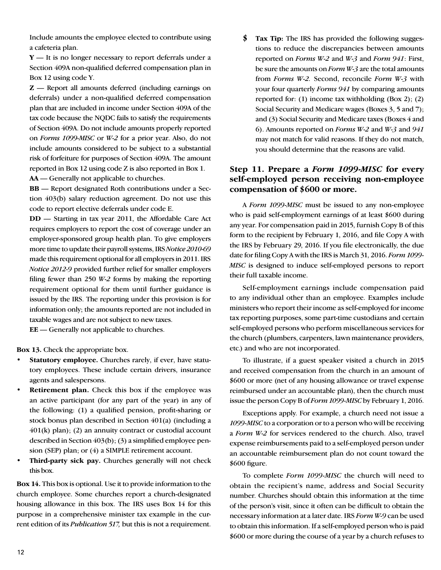Include amounts the employee elected to contribute using a cafeteria plan.

**Y** — It is no longer necessary to report deferrals under a Section 409A non-qualified deferred compensation plan in Box 12 using code Y.

**Z** — Report all amounts deferred (including earnings on deferrals) under a non-qualified deferred compensation plan that are included in income under Section 409A of the tax code because the NQDC fails to satisfy the requirements of Section 409A. Do not include amounts properly reported on *Forms 1099-MISC* or *W-2* for a prior year. Also, do not include amounts considered to be subject to a substantial risk of forfeiture for purposes of Section 409A. The amount reported in Box 12 using code Z is also reported in Box 1.

**AA** — Generally not applicable to churches.

**BB** — Report designated Roth contributions under a Section 403(b) salary reduction agreement. Do not use this code to report elective deferrals under code E.

**DD** — Starting in tax year 2011, the Affordable Care Act requires employers to report the cost of coverage under an employer-sponsored group health plan. To give employers more time to update their payroll systems, IRS *Notice 2010-69*  made this requirement optional for all employers in 2011. IRS *Notice 2012-9* provided further relief for smaller employers filing fewer than 250 *W-2* forms by making the reporting requirement optional for them until further guidance is issued by the IRS. The reporting under this provision is for information only; the amounts reported are not included in taxable wages and are not subject to new taxes.

**EE** — Generally not applicable to churches.

**Box 13.** Check the appropriate box.

- Statutory employee. Churches rarely, if ever, have statutory employees. These include certain drivers, insurance agents and salespersons.
- **Retirement plan.** Check this box if the employee was an active participant (for any part of the year) in any of the following: (1) a qualified pension, profit-sharing or stock bonus plan described in Section 401(a) (including a 401(k) plan); (2) an annuity contract or custodial account described in Section 403(b); (3) a simplified employee pension (SEP) plan; or (4) a SIMPLE retirement account.
- **Third-party sick pay.** Churches generally will not check this box.

**Box 14.** This box is optional. Use it to provide information to the church employee. Some churches report a church-designated housing allowance in this box. The IRS uses Box 14 for this purpose in a comprehensive minister tax example in the current edition of its *Publication 517,* but this is not a requirement. **\$ Tax Tip:** The IRS has provided the following suggestions to reduce the discrepancies between amounts reported on *Forms W-2* and *W-3* and *Form 941*: First, be sure the amounts on *Form W-3* are the total amounts from *Forms W-2.* Second, reconcile *Form W-3* with your four quarterly *Forms 941* by comparing amounts reported for: (1) income tax withholding (Box 2); (2) Social Security and Medicare wages (Boxes 3, 5 and 7); and (3) Social Security and Medicare taxes (Boxes 4 and 6). Amounts reported on *Forms W-2* and *W-3* and *941* may not match for valid reasons. If they do not match, you should determine that the reasons are valid.

#### **Step 11. Prepare a** *Form 1099-MISC* **for every self-employed person receiving non-employee compensation of \$600 or more.**

A *Form 1099-MISC* must be issued to any non-employee who is paid self-employment earnings of at least \$600 during any year. For compensation paid in 2015, furnish Copy B of this form to the recipient by February 1, 2016, and file Copy A with the IRS by February 29, 2016. If you file electronically, the due date for filing Copy A with the IRS is March 31, 2016. *Form 1099- MISC* is designed to induce self-employed persons to report their full taxable income.

Self-employment earnings include compensation paid to any individual other than an employee. Examples include ministers who report their income as self-employed for income tax reporting purposes, some part-time custodians and certain self-employed persons who perform miscellaneous services for the church (plumbers, carpenters, lawn maintenance providers, etc.) and who are not incorporated.

To illustrate, if a guest speaker visited a church in 2015 and received compensation from the church in an amount of \$600 or more (net of any housing allowance or travel expense reimbursed under an accountable plan), then the church must issue the person Copy B of *Form 1099-MISC* by February 1, 2016.

Exceptions apply. For example, a church need not issue a *1099-MISC* to a corporation or to a person who will be receiving a *Form W-2* for services rendered to the church. Also, travel expense reimbursements paid to a self-employed person under an accountable reimbursement plan do not count toward the \$600 figure.

To complete *Form 1099-MISC* the church will need to obtain the recipient's name, address and Social Security number. Churches should obtain this information at the time of the person's visit, since it often can be difficult to obtain the necessary information at a later date. IRS *Form W-9* can be used to obtain this information. If a self-employed person who is paid \$600 or more during the course of a year by a church refuses to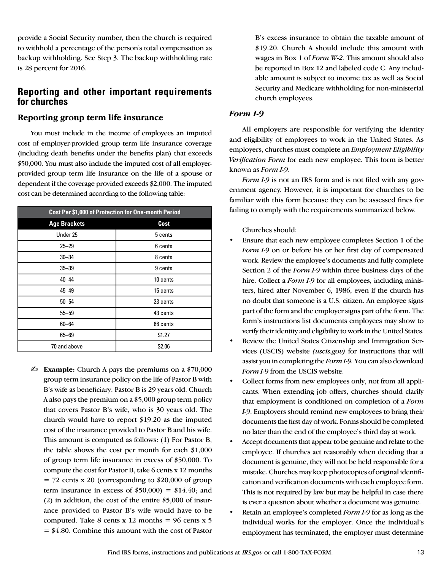provide a Social Security number, then the church is required to withhold a percentage of the person's total compensation as backup withholding. See Step 3. The backup withholding rate is 28 percent for 2016.

### **Reporting and other important requirements for churches**

#### **Reporting group term life insurance**

You must include in the income of employees an imputed cost of employer-provided group term life insurance coverage (including death benefits under the benefits plan) that exceeds \$50,000. You must also include the imputed cost of all employerprovided group term life insurance on the life of a spouse or dependent if the coverage provided exceeds \$2,000. The imputed cost can be determined according to the following table:

| Cost Per \$1,000 of Protection for One-month Period |          |  |  |  |
|-----------------------------------------------------|----------|--|--|--|
| <b>Age Brackets</b>                                 | Cost     |  |  |  |
| Under 25                                            | 5 cents  |  |  |  |
| $25 - 29$                                           | 6 cents  |  |  |  |
| $30 - 34$                                           | 8 cents  |  |  |  |
| $35 - 39$                                           | 9 cents  |  |  |  |
| $40 - 44$                                           | 10 cents |  |  |  |
| 45-49                                               | 15 cents |  |  |  |
| $50 - 54$                                           | 23 cents |  |  |  |
| $55 - 59$                                           | 43 cents |  |  |  |
| $60 - 64$                                           | 66 cents |  |  |  |
| 65-69                                               | \$1.27   |  |  |  |
| 70 and above                                        | \$2.06   |  |  |  |

 $\mathbb{Z}_2$  **Example:** Church A pays the premiums on a \$70,000 group term insurance policy on the life of Pastor B with B's wife as beneficiary. Pastor B is 29 years old. Church A also pays the premium on a \$5,000 group term policy that covers Pastor B's wife, who is 30 years old. The church would have to report \$19.20 as the imputed cost of the insurance provided to Pastor B and his wife. This amount is computed as follows: (1) For Pastor B, the table shows the cost per month for each \$1,000 of group term life insurance in excess of \$50,000. To compute the cost for Pastor B, take 6 cents x 12 months  $= 72$  cents x 20 (corresponding to \$20,000 of group term insurance in excess of  $$50,000$  =  $$14.40$ ; and (2) in addition, the cost of the entire \$5,000 of insurance provided to Pastor B's wife would have to be computed. Take 8 cents x 12 months =  $96$  cents x 5  $= $4.80$ . Combine this amount with the cost of Pastor

B's excess insurance to obtain the taxable amount of \$19.20. Church A should include this amount with wages in Box 1 of *Form W-2.* This amount should also be reported in Box 12 and labeled code C. Any includable amount is subject to income tax as well as Social Security and Medicare withholding for non-ministerial church employees.

#### *Form I-9*

All employers are responsible for verifying the identity and eligibility of employees to work in the United States. As employers, churches must complete an *Employment Eligibility Verification Form* for each new employee. This form is better known as *Form I-9.*

*Form I-9* is not an IRS form and is not filed with any government agency. However, it is important for churches to be familiar with this form because they can be assessed fines for failing to comply with the requirements summarized below.

Churches should:

- Ensure that each new employee completes Section 1 of the *Form I-9* on or before his or her first day of compensated work. Review the employee's documents and fully complete Section 2 of the *Form I-9* within three business days of the hire. Collect a *Form I-9* for all employees, including ministers, hired after November 6, 1986, even if the church has no doubt that someone is a U.S. citizen. An employee signs part of the form and the employer signs part of the form. The form's instructions list documents employees may show to verify their identity and eligibility to work in the United States.
- Review the United States Citizenship and Immigration Services (USCIS) website *(uscis.gov)* for instructions that will assist you in completing the *Form I-9.* You can also download *Form I-9* from the USCIS website.
- Collect forms from new employees only, not from all applicants. When extending job offers, churches should clarify that employment is conditioned on completion of a *Form I-9*. Employers should remind new employees to bring their documents the first day of work. Forms should be completed no later than the end of the employee's third day at work.
- Accept documents that appear to be genuine and relate to the employee. If churches act reasonably when deciding that a document is genuine, they will not be held responsible for a mistake. Churches may keep photocopies of original identification and verification documents with each employee form. This is not required by law but may be helpful in case there is ever a question about whether a document was genuine.
- Retain an employee's completed *Form I-9* for as long as the individual works for the employer. Once the individual's employment has terminated, the employer must determine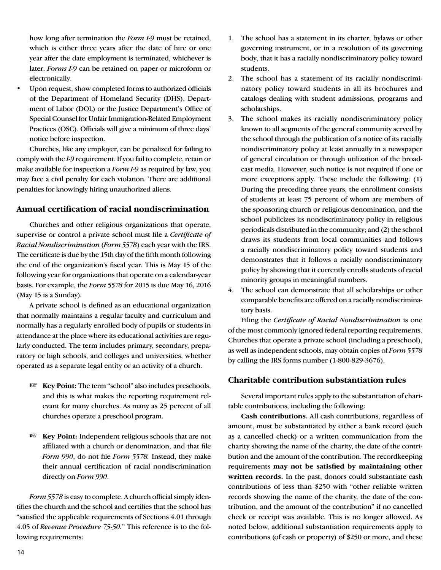how long after termination the *Form I-9* must be retained, which is either three years after the date of hire or one year after the date employment is terminated, whichever is later. *Forms I-9* can be retained on paper or microform or electronically.

Upon request, show completed forms to authorized officials of the Department of Homeland Security (DHS), Department of Labor (DOL) or the Justice Department's Office of Special Counsel for Unfair Immigration-Related Employment Practices (OSC). Officials will give a minimum of three days' notice before inspection.

Churches, like any employer, can be penalized for failing to comply with the *I-9* requirement. If you fail to complete, retain or make available for inspection a *Form I-9* as required by law, you may face a civil penalty for each violation. There are additional penalties for knowingly hiring unauthorized aliens.

#### **Annual certification of racial nondiscrimination**

Churches and other religious organizations that operate, supervise or control a private school must file a *Certificate of Racial Nondiscrimination* (*Form 5578*) each year with the IRS. The certificate is due by the 15th day of the fifth month following the end of the organization's fiscal year. This is May 15 of the following year for organizations that operate on a calendar-year basis. For example, the *Form 5578* for 2015 is due May 16, 2016 (May 15 is a Sunday).

A private school is defined as an educational organization that normally maintains a regular faculty and curriculum and normally has a regularly enrolled body of pupils or students in attendance at the place where its educational activities are regularly conducted. The term includes primary, secondary, preparatory or high schools, and colleges and universities, whether operated as a separate legal entity or an activity of a church.

- **Example 1 Key Point:** The term "school" also includes preschools, and this is what makes the reporting requirement relevant for many churches. As many as 25 percent of all churches operate a preschool program.
- **Example 1 Key Point:** Independent religious schools that are not affiliated with a church or denomination, and that file *Form 990*, do not file *Form 5578.* Instead, they make their annual certification of racial nondiscrimination directly on *Form 990*.

*Form 5578* is easy to complete. A church official simply identifies the church and the school and certifies that the school has "satisfied the applicable requirements of Sections 4.01 through 4.05 of *Revenue Procedure 75-50.*" This reference is to the following requirements:

- 1. The school has a statement in its charter, bylaws or other governing instrument, or in a resolution of its governing body, that it has a racially nondiscriminatory policy toward students.
- 2. The school has a statement of its racially nondiscriminatory policy toward students in all its brochures and catalogs dealing with student admissions, programs and scholarships.
- 3. The school makes its racially nondiscriminatory policy known to all segments of the general community served by the school through the publication of a notice of its racially nondiscriminatory policy at least annually in a newspaper of general circulation or through utilization of the broadcast media. However, such notice is not required if one or more exceptions apply. These include the following: (1) During the preceding three years, the enrollment consists of students at least 75 percent of whom are members of the sponsoring church or religious denomination, and the school publicizes its nondiscriminatory policy in religious periodicals distributed in the community; and (2) the school draws its students from local communities and follows a racially nondiscriminatory policy toward students and demonstrates that it follows a racially nondiscriminatory policy by showing that it currently enrolls students of racial minority groups in meaningful numbers.
- 4. The school can demonstrate that all scholarships or other comparable benefits are offered on a racially nondiscriminatory basis.

Filing the *Certificate of Racial Nondiscrimination* is one of the most commonly ignored federal reporting requirements. Churches that operate a private school (including a preschool), as well as independent schools, may obtain copies of *Form 5578* by calling the IRS forms number (1-800-829-3676).

#### **Charitable contribution substantiation rules**

Several important rules apply to the substantiation of charitable contributions, including the following:

**Cash contributions.** All cash contributions, regardless of amount, must be substantiated by either a bank record (such as a cancelled check) or a written communication from the charity showing the name of the charity, the date of the contribution and the amount of the contribution. The recordkeeping requirements **may not be satisfied by maintaining other written records.** In the past, donors could substantiate cash contributions of less than \$250 with "other reliable written records showing the name of the charity, the date of the contribution, and the amount of the contribution" if no cancelled check or receipt was available. This is no longer allowed. As noted below, additional substantiation requirements apply to contributions (of cash or property) of \$250 or more, and these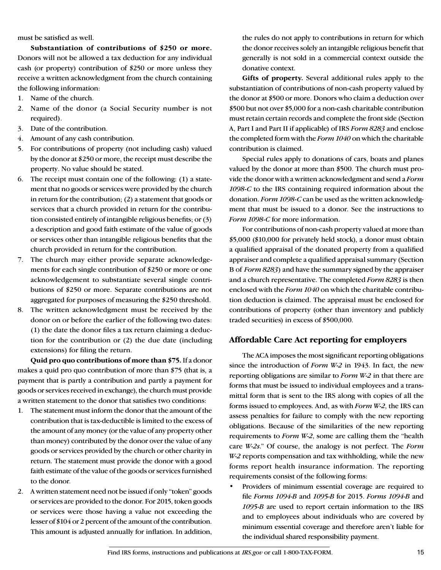must be satisfied as well.

**Substantiation of contributions of \$250 or more.** Donors will not be allowed a tax deduction for any individual cash (or property) contribution of \$250 or more unless they receive a written acknowledgment from the church containing the following information:

- 1. Name of the church.
- 2. Name of the donor (a Social Security number is not required).
- 3. Date of the contribution.
- 4. Amount of any cash contribution.
- 5. For contributions of property (not including cash) valued by the donor at \$250 or more, the receipt must describe the property. No value should be stated.
- 6. The receipt must contain one of the following: (1) a statement that no goods or services were provided by the church in return for the contribution; (2) a statement that goods or services that a church provided in return for the contribution consisted entirely of intangible religious benefits; or (3) a description and good faith estimate of the value of goods or services other than intangible religious benefits that the church provided in return for the contribution.
- 7. The church may either provide separate acknowledgements for each single contribution of \$250 or more or one acknowledgement to substantiate several single contributions of \$250 or more. Separate contributions are not aggregated for purposes of measuring the \$250 threshold.
- 8. The written acknowledgment must be received by the donor on or before the earlier of the following two dates: (1) the date the donor files a tax return claiming a deduction for the contribution or (2) the due date (including extensions) for filing the return.

**Quid pro quo contributions of more than \$75.** If a donor makes a quid pro quo contribution of more than \$75 (that is, a payment that is partly a contribution and partly a payment for goods or services received in exchange), the church must provide a written statement to the donor that satisfies two conditions:

- 1. The statement must inform the donor that the amount of the contribution that is tax-deductible is limited to the excess of the amount of any money (or the value of any property other than money) contributed by the donor over the value of any goods or services provided by the church or other charity in return. The statement must provide the donor with a good faith estimate of the value of the goods or services furnished to the donor.
- 2. A written statement need not be issued if only "token" goods or services are provided to the donor. For 2015, token goods or services were those having a value not exceeding the lesser of \$104 or 2 percent of the amount of the contribution. This amount is adjusted annually for inflation. In addition,

the rules do not apply to contributions in return for which the donor receives solely an intangible religious benefit that generally is not sold in a commercial context outside the donative context.

**Gifts of property.** Several additional rules apply to the substantiation of contributions of non-cash property valued by the donor at \$500 or more. Donors who claim a deduction over \$500 but not over \$5,000 for a non-cash charitable contribution must retain certain records and complete the front side (Section A, Part I and Part II if applicable) of IRS *Form 8283* and enclose the completed form with the *Form 1040* on which the charitable contribution is claimed.

Special rules apply to donations of cars, boats and planes valued by the donor at more than \$500. The church must provide the donor with a written acknowledgment and send a *Form 1098-C* to the IRS containing required information about the donation. *Form 1098-C* can be used as the written acknowledgment that must be issued to a donor. See the instructions to *Form 1098-C* for more information.

For contributions of non-cash property valued at more than \$5,000 (\$10,000 for privately held stock), a donor must obtain a qualified appraisal of the donated property from a qualified appraiser and complete a qualified appraisal summary (Section B of *Form 8283*) and have the summary signed by the appraiser and a church representative. The completed *Form 8283* is then enclosed with the *Form 1040* on which the charitable contribution deduction is claimed. The appraisal must be enclosed for contributions of property (other than inventory and publicly traded securities) in excess of \$500,000.

#### **Affordable Care Act reporting for employers**

The ACA imposes the most significant reporting obligations since the introduction of *Form W-2* in 1943. In fact, the new reporting obligations are similar to *Form W-2* in that there are forms that must be issued to individual employees and a transmittal form that is sent to the IRS along with copies of all the forms issued to employees. And, as with *Form W-2*, the IRS can assess penalties for failure to comply with the new reporting obligations. Because of the similarities of the new reporting requirements to *Form W-2*, some are calling them the "health care *W-2s*." Of course, the analogy is not perfect. The *Form W-2* reports compensation and tax withholding, while the new forms report health insurance information. The reporting requirements consist of the following forms:

• Providers of minimum essential coverage are required to file *Forms 1094-B* and *1095-B* for 2015. *Forms 1094-B* and *1095-B* are used to report certain information to the IRS and to employees about individuals who are covered by minimum essential coverage and therefore aren't liable for the individual shared responsibility payment.